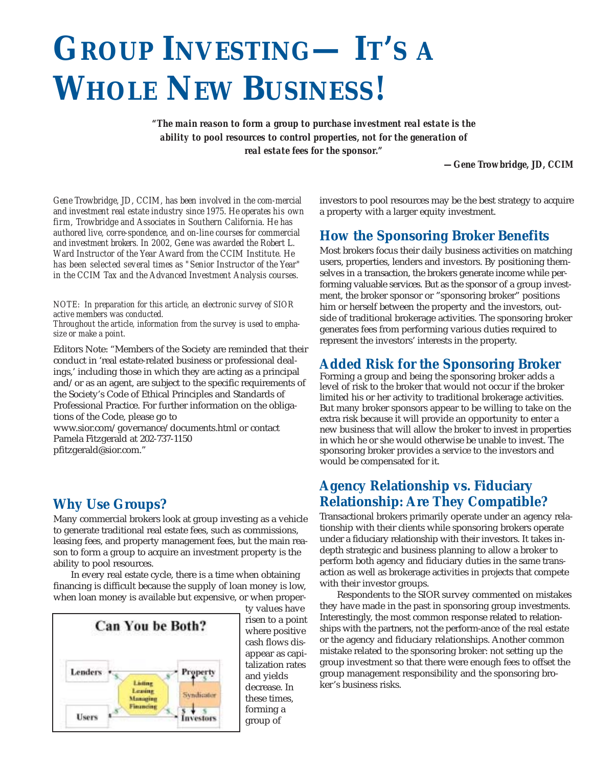# **GROUP INVESTING— IT'S A WHOLE NEW BUSINESS!**

*"The main reason to form a group to purchase investment real estate is the ability to pool resources to control properties, not for the generation of real estate fees for the sponsor."* 

*—Gene Trowbridge, JD, CCIM*

*Gene Trowbridge, JD, CCIM, has been involved in the com-mercial and investment real estate industry since 1975. He operates his own firm, Trowbridge and Associates in Southern California. He has authored live, corre-spondence, and on-line courses for commercial and investment brokers. In 2002, Gene was awarded the Robert L. Ward Instructor of the Year Award from the CCIM Institute. He has been selected several times as "Senior Instructor of the Year" in the CCIM Tax and the Advanced Investment Analysis courses.* 

*NOTE: In preparation for this article, an electronic survey of SIOR active members was conducted. Throughout the article, information from the survey is used to emphasize or make a point.* 

Editors Note: "Members of the Society are reminded that their conduct in 'real estate-related business or professional dealings,' including those in which they are acting as a principal and/or as an agent, are subject to the specific requirements of the Society's Code of Ethical Principles and Standards of Professional Practice. For further information on the obligations of the Code, please go to

www.sior.com/governance/documents.html or contact Pamela Fitzgerald at 202-737-1150 pfitzgerald@sior.com."

# **Why Use Groups?**

Many commercial brokers look at group investing as a vehicle to generate traditional real estate fees, such as commissions, leasing fees, and property management fees, but the main reason to form a group to acquire an investment property is the ability to pool resources.

In every real estate cycle, there is a time when obtaining financing is difficult because the supply of loan money is low, when loan money is available but expensive, or when proper-



ty values have risen to a point where positive cash flows disappear as capitalization rates and yields decrease. In these times, forming a group of

investors to pool resources may be the best strategy to acquire a property with a larger equity investment.

# **How the Sponsoring Broker Benefits**

Most brokers focus their daily business activities on matching users, properties, lenders and investors. By positioning themselves in a transaction, the brokers generate income while performing valuable services. But as the sponsor of a group investment, the broker sponsor or "sponsoring broker" positions him or herself between the property and the investors, outside of traditional brokerage activities. The sponsoring broker generates fees from performing various duties required to represent the investors' interests in the property.

## **Added Risk for the Sponsoring Broker**

Forming a group and being the sponsoring broker adds a level of risk to the broker that would not occur if the broker limited his or her activity to traditional brokerage activities. But many broker sponsors appear to be willing to take on the extra risk because it will provide an opportunity to enter a new business that will allow the broker to invest in properties in which he or she would otherwise be unable to invest. The sponsoring broker provides a service to the investors and would be compensated for it.

## **Agency Relationship vs. Fiduciary Relationship: Are They Compatible?**

Transactional brokers primarily operate under an agency relationship with their clients while sponsoring brokers operate under a fiduciary relationship with their investors. It takes indepth strategic and business planning to allow a broker to perform both agency and fiduciary duties in the same transaction as well as brokerage activities in projects that compete with their investor groups.

Respondents to the SIOR survey commented on mistakes they have made in the past in sponsoring group investments. Interestingly, the most common response related to relationships with the partners, not the perform-ance of the real estate or the agency and fiduciary relationships. Another common mistake related to the sponsoring broker: not setting up the group investment so that there were enough fees to offset the group management responsibility and the sponsoring broker's business risks.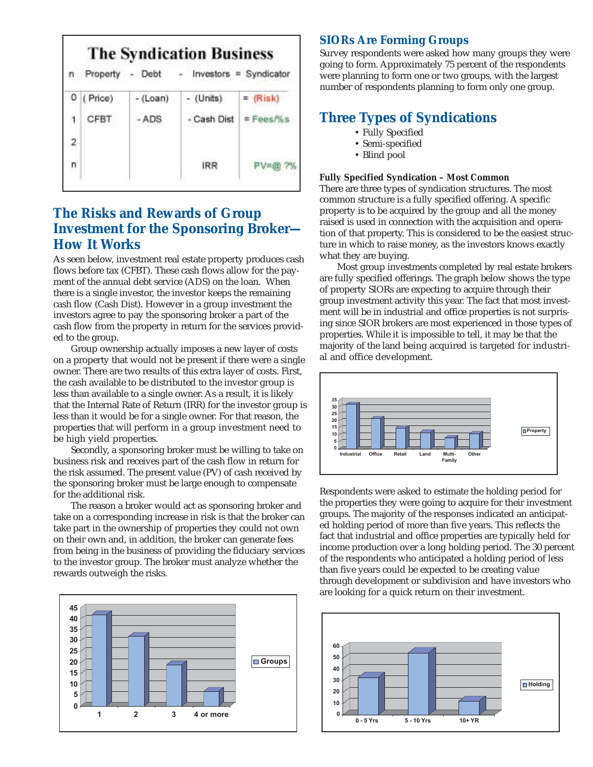| <b>The Syndication Business</b><br>n |                          |                                             |
|--------------------------------------|--------------------------|---------------------------------------------|
| Property<br>- Debt                   | - Investors = Syndicator |                                             |
|                                      | - (Units)                | $=$ (Risk)                                  |
|                                      |                          | $E$ Fees $P_0$ s                            |
|                                      |                          |                                             |
|                                      | <b>IRR</b>               | PV=@ ?%                                     |
|                                      | (Price)<br>CFBT          | $-(\text{Loan})$<br><b>ADS</b><br>Cash Dist |

# **The Risks and Rewards of Group Investment for the Sponsoring Broker— How It Works**

As seen below, investment real estate property produces cash flows before tax (CFBT). These cash flows allow for the payment of the annual debt service (ADS) on the loan. When there is a single investor, the investor keeps the remaining cash flow (Cash Dist). However in a group investment the investors agree to pay the sponsoring broker a part of the cash flow from the property in return for the services provided to the group.

Group ownership actually imposes a new layer of costs on a property that would not be present if there were a single owner. There are two results of this extra layer of costs. First, the cash available to be distributed to the investor group is less than available to a single owner. As a result, it is likely that the Internal Rate of Return (IRR) for the investor group is less than it would be for a single owner. For that reason, the properties that will perform in a group investment need to be high yield properties.

Secondly, a sponsoring broker must be willing to take on business risk and receives part of the cash flow in return for the risk assumed. The present value (PV) of cash received by the sponsoring broker must be large enough to compensate for the additional risk.

The reason a broker would act as sponsoring broker and take on a corresponding increase in risk is that the broker can take part in the ownership of properties they could not own on their own and, in addition, the broker can generate fees from being in the business of providing the fiduciary services to the investor group. The broker must analyze whether the rewards outweigh the risks.



## **SIORs Are Forming Groups**

Survey respondents were asked how many groups they were going to form. Approximately 75 percent of the respondents were planning to form one or two groups, with the largest number of respondents planning to form only one group.

## **Three Types of Syndications**

- Fully Specified
- Semi-specified
- Blind pool

## **Fully Specified Syndication – Most Common**

There are three types of syndication structures. The most common structure is a fully specified offering. A specific property is to be acquired by the group and all the money raised is used in connection with the acquisition and operation of that property. This is considered to be the easiest structure in which to raise money, as the investors knows exactly what they are buying.

Most group investments completed by real estate brokers are fully specified offerings. The graph below shows the type of property SIORs are expecting to acquire through their group investment activity this year. The fact that most investment will be in industrial and office properties is not surprising since SIOR brokers are most experienced in those types of properties. While it is impossible to tell, it may be that the majority of the land being acquired is targeted for industrial and office development.



Respondents were asked to estimate the holding period for the properties they were going to acquire for their investment groups. The majority of the responses indicated an anticipated holding period of more than five years. This reflects the fact that industrial and office properties are typically held for income production over a long holding period. The 30 percent of the respondents who anticipated a holding period of less than five years could be expected to be creating value through development or subdivision and have investors who are looking for a quick return on their investment.

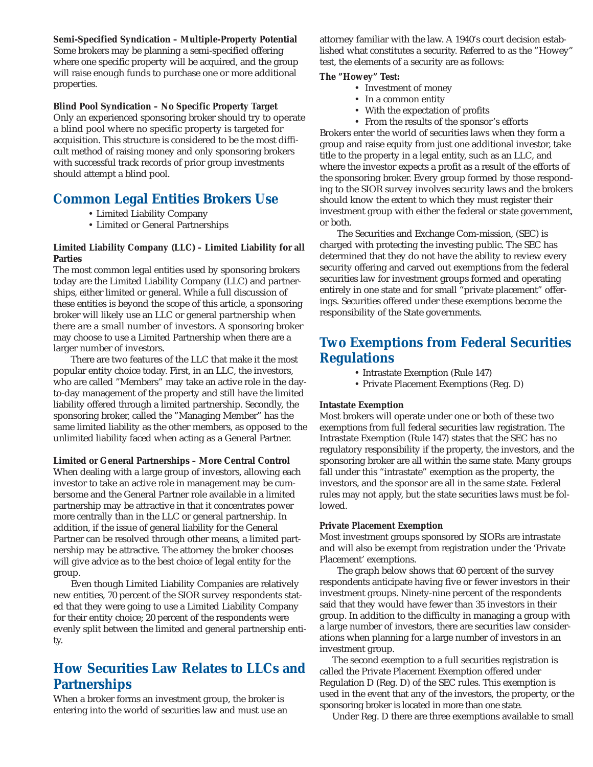**Semi-Specified Syndication – Multiple-Property Potential** Some brokers may be planning a semi-specified offering where one specific property will be acquired, and the group will raise enough funds to purchase one or more additional properties.

**Blind Pool Syndication – No Specific Property Target**

Only an experienced sponsoring broker should try to operate a blind pool where no specific property is targeted for acquisition. This structure is considered to be the most difficult method of raising money and only sponsoring brokers with successful track records of prior group investments should attempt a blind pool.

## **Common Legal Entities Brokers Use**

- Limited Liability Company
- Limited or General Partnerships

## **Limited Liability Company (LLC) – Limited Liability for all Parties**

The most common legal entities used by sponsoring brokers today are the Limited Liability Company (LLC) and partnerships, either limited or general. While a full discussion of these entities is beyond the scope of this article, a sponsoring broker will likely use an LLC or general partnership when there are a small number of investors. A sponsoring broker may choose to use a Limited Partnership when there are a larger number of investors.

There are two features of the LLC that make it the most popular entity choice today. First, in an LLC, the investors, who are called "Members" may take an active role in the dayto-day management of the property and still have the limited liability offered through a limited partnership. Secondly, the sponsoring broker, called the "Managing Member" has the same limited liability as the other members, as opposed to the unlimited liability faced when acting as a General Partner.

### **Limited or General Partnerships – More Central Control**

When dealing with a large group of investors, allowing each investor to take an active role in management may be cumbersome and the General Partner role available in a limited partnership may be attractive in that it concentrates power more centrally than in the LLC or general partnership. In addition, if the issue of general liability for the General Partner can be resolved through other means, a limited partnership may be attractive. The attorney the broker chooses will give advice as to the best choice of legal entity for the group.

Even though Limited Liability Companies are relatively new entities, 70 percent of the SIOR survey respondents stated that they were going to use a Limited Liability Company for their entity choice; 20 percent of the respondents were evenly split between the limited and general partnership entity.

## **How Securities Law Relates to LLCs and Partnerships**

When a broker forms an investment group, the broker is entering into the world of securities law and must use an attorney familiar with the law. A 1940's court decision established what constitutes a security. Referred to as the "Howey" test, the elements of a security are as follows:

### **The "Howey" Test:**

- Investment of money
- In a common entity
- With the expectation of profits
- From the results of the sponsor's efforts

Brokers enter the world of securities laws when they form a group and raise equity from just one additional investor, take title to the property in a legal entity, such as an LLC, and where the investor expects a profit as a result of the efforts of the sponsoring broker. Every group formed by those responding to the SIOR survey involves security laws and the brokers should know the extent to which they must register their investment group with either the federal or state government, or both.

The Securities and Exchange Com-mission, (SEC) is charged with protecting the investing public. The SEC has determined that they do not have the ability to review every security offering and carved out exemptions from the federal securities law for investment groups formed and operating entirely in one state and for small "private placement" offerings. Securities offered under these exemptions become the responsibility of the State governments.

## **Two Exemptions from Federal Securities Regulations**

- Intrastate Exemption (Rule 147)
- Private Placement Exemptions (Reg. D)

### **Intastate Exemption**

Most brokers will operate under one or both of these two exemptions from full federal securities law registration. The Intrastate Exemption (Rule 147) states that the SEC has no regulatory responsibility if the property, the investors, and the sponsoring broker are all within the same state. Many groups fall under this "intrastate" exemption as the property, the investors, and the sponsor are all in the same state. Federal rules may not apply, but the state securities laws must be followed.

#### **Private Placement Exemption**

Most investment groups sponsored by SIORs are intrastate and will also be exempt from registration under the 'Private Placement' exemptions.

The graph below shows that 60 percent of the survey respondents anticipate having five or fewer investors in their investment groups. Ninety-nine percent of the respondents said that they would have fewer than 35 investors in their group. In addition to the difficulty in managing a group with a large number of investors, there are securities law considerations when planning for a large number of investors in an investment group.

The second exemption to a full securities registration is called the Private Placement Exemption offered under Regulation D (Reg. D) of the SEC rules. This exemption is used in the event that any of the investors, the property, or the sponsoring broker is located in more than one state.

Under Reg. D there are three exemptions available to small